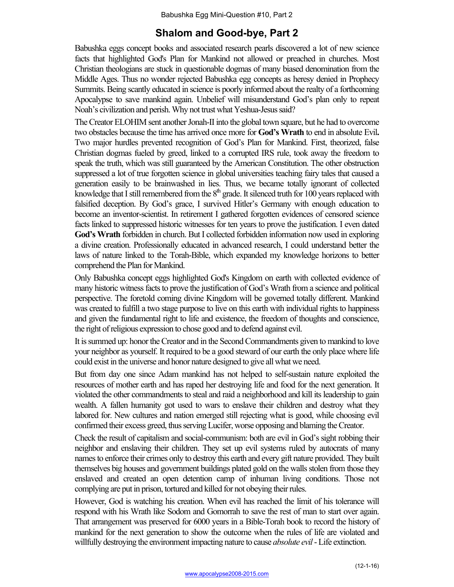## **Shalom and Good-bye, Part 2**

Babushka eggs concept books and associated research pearls discovered a lot of new science facts that highlighted God's Plan for Mankind not allowed or preached in churches. Most Christian theologians are stuck in questionable dogmas of many biased denomination from the Middle Ages. Thus no wonder rejected Babushka egg concepts as heresy denied in Prophecy Summits. Being scantly educated in science is poorly informed about the realty of a forthcoming Apocalypse to save mankind again. Unbelief will misunderstand God's plan only to repeat Noah's civilization and perish. Why not trust what Yeshua-Jesus said?

The Creator ELOHIM sent another Jonah-II into the global town square, but he had to overcome two obstacles because the time has arrived once more for **God's Wrath** to end in absolute Evil**.**  Two major hurdles prevented recognition of God's Plan for Mankind. First, theorized, false Christian dogmas fueled by greed, linked to a corrupted IRS rule, took away the freedom to speak the truth, which was still guaranteed by the American Constitution. The other obstruction suppressed a lot of true forgotten science in global universities teaching fairy tales that caused a generation easily to be brainwashed in lies. Thus, we became totally ignorant of collected knowledge that I still remembered from the  $8<sup>th</sup>$  grade. It silenced truth for 100 years replaced with falsified deception. By God's grace, I survived Hitler's Germany with enough education to become an inventor-scientist. In retirement I gathered forgotten evidences of censored science facts linked to suppressed historic witnesses for ten years to prove the justification. I even dated **God's Wrath** forbidden in church. But I collected forbidden information now used in exploring a divine creation. Professionally educated in advanced research, I could understand better the laws of nature linked to the Torah-Bible, which expanded my knowledge horizons to better comprehend the Plan for Mankind.

Only Babushka concept eggs highlighted God's Kingdom on earth with collected evidence of many historic witness facts to prove the justification of God's Wrath from a science and political perspective. The foretold coming divine Kingdom will be governed totally different. Mankind was created to fulfill a two stage purpose to live on this earth with individual rights to happiness and given the fundamental right to life and existence, the freedom of thoughts and conscience, the right of religious expression to chose good and to defend against evil.

It is summed up: honor the Creator and in the Second Commandments given to mankind to love your neighbor as yourself. It required to be a good steward of our earth the only place where life could exist in the universe and honor nature designed to give all what we need.

But from day one since Adam mankind has not helped to self-sustain nature exploited the resources of mother earth and has raped her destroying life and food for the next generation. It violated the other commandments to steal and raid a neighborhood and kill itsleadership to gain wealth. A fallen humanity got used to wars to enslave their children and destroy what they labored for. New cultures and nation emerged still rejecting what is good, while choosing evil confirmed their excess greed, thus serving Lucifer, worse opposing and blaming the Creator.

Check the result of capitalism and social-communism: both are evil in God's sight robbing their neighbor and enslaving their children. They set up evil systems ruled by autocrats of many names to enforce their crimes only to destroy this earth and every gift nature provided. They built themselves big houses and government buildings plated gold on the walls stolen from those they enslaved and created an open detention camp of inhuman living conditions. Those not complying are put in prison, tortured and killed for not obeying their rules.

However, God is watching his creation. When evil has reached the limit of his tolerance will respond with his Wrath like Sodom and Gomorrah to save the rest of man to start over again. That arrangement was preserved for 6000 years in a Bible-Torah book to record the history of mankind for the next generation to show the outcome when the rules of life are violated and willfully destroying the environment impacting nature to cause *absolute evil*-Life extinction.